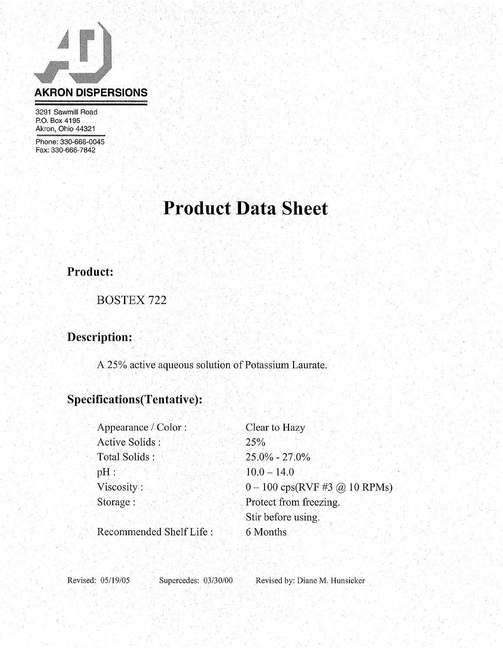

3291 Sawmill Road P.O. Box 4195 Akron, Ohio 44321

Phone: 330-666-0045 Fax: 330-666-7842

# **Product Data Sheet**

### **Product:**

**BOSTEX 722** 

## Description:

A 25% active aqueous solution of Potassium Laurate.

### Specifications(Tentative):

| Appearance / Color:     | Clear to Hazy                                                     |
|-------------------------|-------------------------------------------------------------------|
| Active Solids:          | 25%                                                               |
| Total Solids:           | $25.0\% - 27.0\%$                                                 |
| pH:                     | $10.0 - 14.0$                                                     |
| Viscosity:              | $0 - 100 \text{ cps}(\text{RVF} \# 3 \text{ @ } 10 \text{ RPMs})$ |
| Storage:                | Protect from freezing.                                            |
|                         | Stir before using.                                                |
| Recommended Shelf Life: | 6 Months                                                          |

Revised: 05/19/05

Supercedes: 03/30/00

Revised by: Diane M. Hunsicker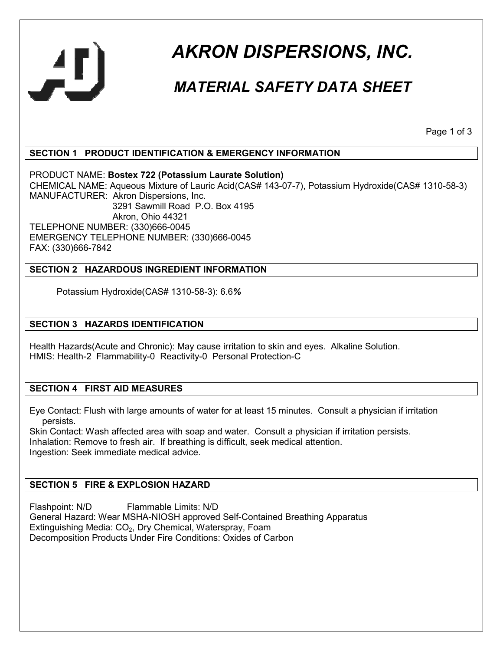

## *AKRON DISPERSIONS, INC.*

## *MATERIAL SAFETY DATA SHEET*

Page 1 of 3

#### **SECTION 1 PRODUCT IDENTIFICATION & EMERGENCY INFORMATION**

PRODUCT NAME: **Bostex 722 (Potassium Laurate Solution)**  CHEMICAL NAME: Aqueous Mixture of Lauric Acid(CAS# 143-07-7), Potassium Hydroxide(CAS# 1310-58-3) MANUFACTURER: Akron Dispersions, Inc. 3291 Sawmill Road P.O. Box 4195 Akron, Ohio 44321 TELEPHONE NUMBER: (330)666-0045 EMERGENCY TELEPHONE NUMBER: (330)666-0045 FAX: (330)666-7842

#### **SECTION 2 HAZARDOUS INGREDIENT INFORMATION**

Potassium Hydroxide(CAS# 1310-58-3): 6.6*%* 

#### **SECTION 3 HAZARDS IDENTIFICATION**

Health Hazards(Acute and Chronic): May cause irritation to skin and eyes. Alkaline Solution. HMIS: Health-2 Flammability-0 Reactivity-0 Personal Protection-C

#### **SECTION 4 FIRST AID MEASURES**

Eye Contact: Flush with large amounts of water for at least 15 minutes. Consult a physician if irritation persists.

Skin Contact: Wash affected area with soap and water. Consult a physician if irritation persists. Inhalation: Remove to fresh air. If breathing is difficult, seek medical attention. Ingestion: Seek immediate medical advice.

#### **SECTION 5 FIRE & EXPLOSION HAZARD**

Flashpoint: N/D Flammable Limits: N/D General Hazard: Wear MSHA-NIOSH approved Self-Contained Breathing Apparatus Extinguishing Media: CO<sub>2</sub>, Dry Chemical, Waterspray, Foam Decomposition Products Under Fire Conditions: Oxides of Carbon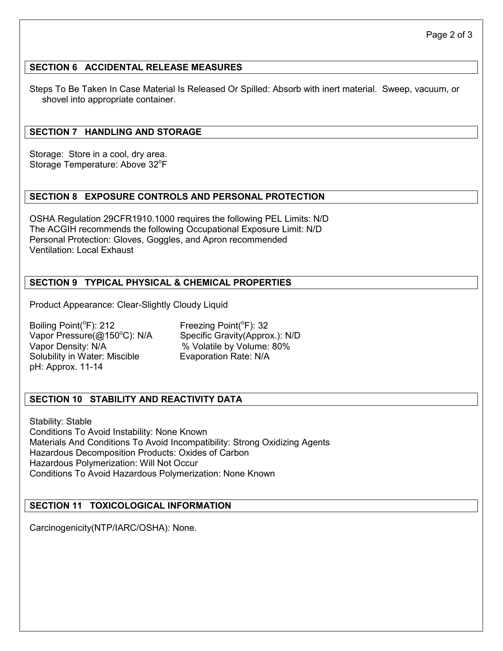#### **SECTION 6 ACCIDENTAL RELEASE MEASURES**

Steps To Be Taken In Case Material Is Released Or Spilled: Absorb with inert material. Sweep, vacuum, or shovel into appropriate container.

#### **SECTION 7 HANDLING AND STORAGE**

Storage: Store in a cool, dry area. Storage Temperature: Above 32°F

#### **SECTION 8 EXPOSURE CONTROLS AND PERSONAL PROTECTION**

OSHA Regulation 29CFR1910.1000 requires the following PEL Limits: N/D The ACGIH recommends the following Occupational Exposure Limit: N/D Personal Protection: Gloves, Goggles, and Apron recommended Ventilation: Local Exhaust

#### **SECTION 9 TYPICAL PHYSICAL & CHEMICAL PROPERTIES**

Product Appearance: Clear-Slightly Cloudy Liquid

Boiling Point(°F): 212 Freezing Point(°F): 32 Vapor Density: N/A % Volatile by Volume: 80% Solubility in Water: Miscible Evaporation Rate: N/A pH: Approx. 11-14

Vapor Pressure(@150°C): N/A Specific Gravity(Approx.): N/D

#### **SECTION 10 STABILITY AND REACTIVITY DATA**

Stability: Stable Conditions To Avoid Instability: None Known Materials And Conditions To Avoid Incompatibility: Strong Oxidizing Agents Hazardous Decomposition Products: Oxides of Carbon Hazardous Polymerization: Will Not Occur Conditions To Avoid Hazardous Polymerization: None Known

#### **SECTION 11 TOXICOLOGICAL INFORMATION**

Carcinogenicity(NTP/IARC/OSHA): None.